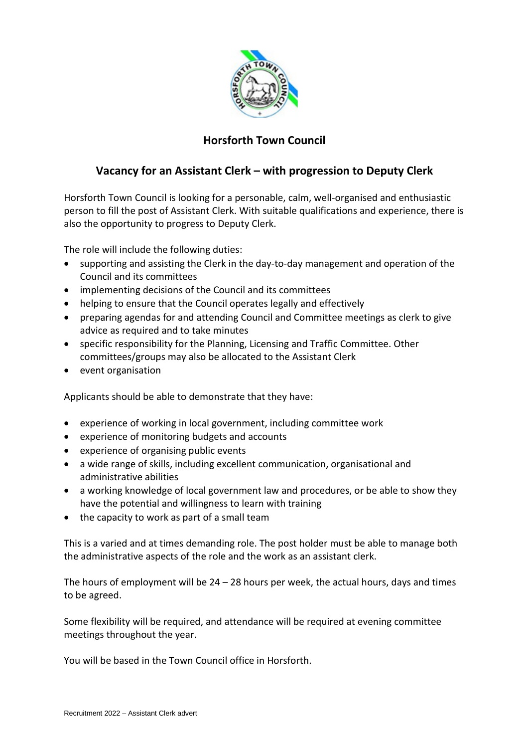

# **Horsforth Town Council**

## **Vacancy for an Assistant Clerk – with progression to Deputy Clerk**

Horsforth Town Council is looking for a personable, calm, well-organised and enthusiastic person to fill the post of Assistant Clerk. With suitable qualifications and experience, there is also the opportunity to progress to Deputy Clerk.

The role will include the following duties:

- supporting and assisting the Clerk in the day-to-day management and operation of the Council and its committees
- implementing decisions of the Council and its committees
- helping to ensure that the Council operates legally and effectively
- preparing agendas for and attending Council and Committee meetings as clerk to give advice as required and to take minutes
- specific responsibility for the Planning, Licensing and Traffic Committee. Other committees/groups may also be allocated to the Assistant Clerk
- event organisation

Applicants should be able to demonstrate that they have:

- experience of working in local government, including committee work
- experience of monitoring budgets and accounts
- experience of organising public events
- a wide range of skills, including excellent communication, organisational and administrative abilities
- a working knowledge of local government law and procedures, or be able to show they have the potential and willingness to learn with training
- the capacity to work as part of a small team

This is a varied and at times demanding role. The post holder must be able to manage both the administrative aspects of the role and the work as an assistant clerk.

The hours of employment will be  $24 - 28$  hours per week, the actual hours, days and times to be agreed.

Some flexibility will be required, and attendance will be required at evening committee meetings throughout the year.

You will be based in the Town Council office in Horsforth.